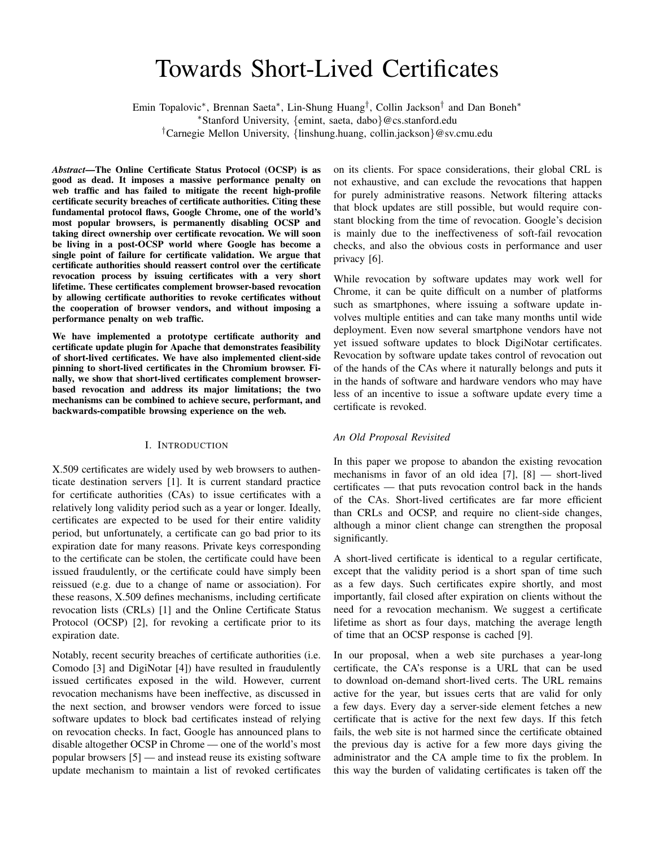# Towards Short-Lived Certificates

Emin Topalovic<sup>∗</sup> , Brennan Saeta<sup>∗</sup> , Lin-Shung Huang† , Collin Jackson† and Dan Boneh<sup>∗</sup>

<sup>∗</sup>Stanford University, {emint, saeta, dabo}@cs.stanford.edu

†Carnegie Mellon University, {linshung.huang, collin.jackson}@sv.cmu.edu

*Abstract*—The Online Certificate Status Protocol (OCSP) is as good as dead. It imposes a massive performance penalty on web traffic and has failed to mitigate the recent high-profile certificate security breaches of certificate authorities. Citing these fundamental protocol flaws, Google Chrome, one of the world's most popular browsers, is permanently disabling OCSP and taking direct ownership over certificate revocation. We will soon be living in a post-OCSP world where Google has become a single point of failure for certificate validation. We argue that certificate authorities should reassert control over the certificate revocation process by issuing certificates with a very short lifetime. These certificates complement browser-based revocation by allowing certificate authorities to revoke certificates without the cooperation of browser vendors, and without imposing a performance penalty on web traffic.

We have implemented a prototype certificate authority and certificate update plugin for Apache that demonstrates feasibility of short-lived certificates. We have also implemented client-side pinning to short-lived certificates in the Chromium browser. Finally, we show that short-lived certificates complement browserbased revocation and address its major limitations; the two mechanisms can be combined to achieve secure, performant, and backwards-compatible browsing experience on the web.

#### I. INTRODUCTION

X.509 certificates are widely used by web browsers to authenticate destination servers [1]. It is current standard practice for certificate authorities (CAs) to issue certificates with a relatively long validity period such as a year or longer. Ideally, certificates are expected to be used for their entire validity period, but unfortunately, a certificate can go bad prior to its expiration date for many reasons. Private keys corresponding to the certificate can be stolen, the certificate could have been issued fraudulently, or the certificate could have simply been reissued (e.g. due to a change of name or association). For these reasons, X.509 defines mechanisms, including certificate revocation lists (CRLs) [1] and the Online Certificate Status Protocol (OCSP) [2], for revoking a certificate prior to its expiration date.

Notably, recent security breaches of certificate authorities (i.e. Comodo [3] and DigiNotar [4]) have resulted in fraudulently issued certificates exposed in the wild. However, current revocation mechanisms have been ineffective, as discussed in the next section, and browser vendors were forced to issue software updates to block bad certificates instead of relying on revocation checks. In fact, Google has announced plans to disable altogether OCSP in Chrome — one of the world's most popular browsers [5] — and instead reuse its existing software update mechanism to maintain a list of revoked certificates

on its clients. For space considerations, their global CRL is not exhaustive, and can exclude the revocations that happen for purely administrative reasons. Network filtering attacks that block updates are still possible, but would require constant blocking from the time of revocation. Google's decision is mainly due to the ineffectiveness of soft-fail revocation checks, and also the obvious costs in performance and user privacy [6].

While revocation by software updates may work well for Chrome, it can be quite difficult on a number of platforms such as smartphones, where issuing a software update involves multiple entities and can take many months until wide deployment. Even now several smartphone vendors have not yet issued software updates to block DigiNotar certificates. Revocation by software update takes control of revocation out of the hands of the CAs where it naturally belongs and puts it in the hands of software and hardware vendors who may have less of an incentive to issue a software update every time a certificate is revoked.

#### *An Old Proposal Revisited*

In this paper we propose to abandon the existing revocation mechanisms in favor of an old idea [7], [8] — short-lived certificates — that puts revocation control back in the hands of the CAs. Short-lived certificates are far more efficient than CRLs and OCSP, and require no client-side changes, although a minor client change can strengthen the proposal significantly.

A short-lived certificate is identical to a regular certificate, except that the validity period is a short span of time such as a few days. Such certificates expire shortly, and most importantly, fail closed after expiration on clients without the need for a revocation mechanism. We suggest a certificate lifetime as short as four days, matching the average length of time that an OCSP response is cached [9].

In our proposal, when a web site purchases a year-long certificate, the CA's response is a URL that can be used to download on-demand short-lived certs. The URL remains active for the year, but issues certs that are valid for only a few days. Every day a server-side element fetches a new certificate that is active for the next few days. If this fetch fails, the web site is not harmed since the certificate obtained the previous day is active for a few more days giving the administrator and the CA ample time to fix the problem. In this way the burden of validating certificates is taken off the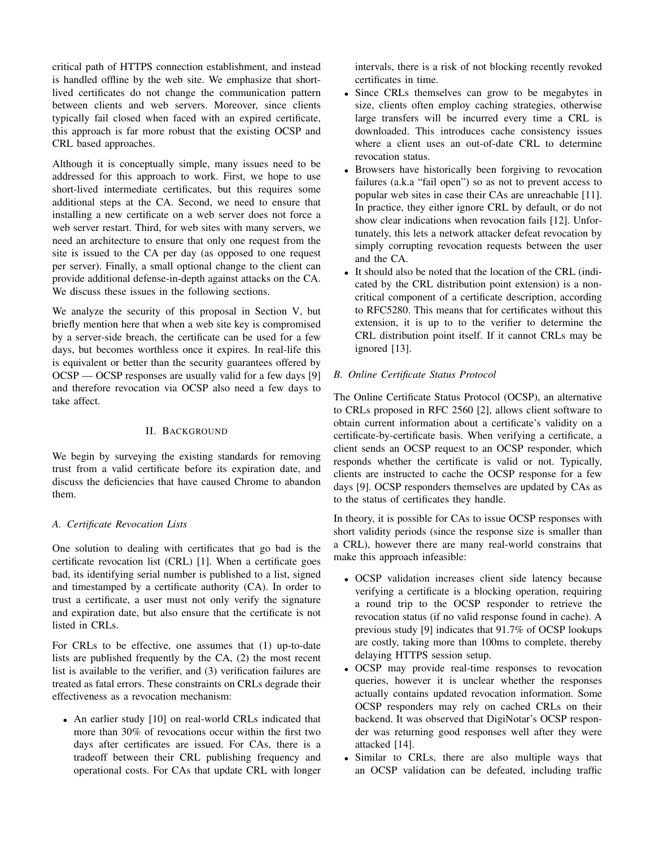critical path of HTTPS connection establishment, and instead is handled offline by the web site. We emphasize that shortlived certificates do not change the communication pattern between clients and web servers. Moreover, since clients typically fail closed when faced with an expired certificate, this approach is far more robust that the existing OCSP and CRL based approaches.

Although it is conceptually simple, many issues need to be addressed for this approach to work. First, we hope to use short-lived intermediate certificates, but this requires some additional steps at the CA. Second, we need to ensure that installing a new certificate on a web server does not force a web server restart. Third, for web sites with many servers, we need an architecture to ensure that only one request from the site is issued to the CA per day (as opposed to one request per server). Finally, a small optional change to the client can provide additional defense-in-depth against attacks on the CA. We discuss these issues in the following sections.

We analyze the security of this proposal in Section V, but briefly mention here that when a web site key is compromised by a server-side breach, the certificate can be used for a few days, but becomes worthless once it expires. In real-life this is equivalent or better than the security guarantees offered by OCSP — OCSP responses are usually valid for a few days [9] and therefore revocation via OCSP also need a few days to take affect.

## II. BACKGROUND

We begin by surveying the existing standards for removing trust from a valid certificate before its expiration date, and discuss the deficiencies that have caused Chrome to abandon them.

# *A. Certificate Revocation Lists*

One solution to dealing with certificates that go bad is the certificate revocation list (CRL) [1]. When a certificate goes bad, its identifying serial number is published to a list, signed and timestamped by a certificate authority (CA). In order to trust a certificate, a user must not only verify the signature and expiration date, but also ensure that the certificate is not listed in CRLs.

For CRLs to be effective, one assumes that (1) up-to-date lists are published frequently by the CA, (2) the most recent list is available to the verifier, and (3) verification failures are treated as fatal errors. These constraints on CRLs degrade their effectiveness as a revocation mechanism:

• An earlier study [10] on real-world CRLs indicated that more than 30% of revocations occur within the first two days after certificates are issued. For CAs, there is a tradeoff between their CRL publishing frequency and operational costs. For CAs that update CRL with longer

intervals, there is a risk of not blocking recently revoked certificates in time.

- Since CRLs themselves can grow to be megabytes in size, clients often employ caching strategies, otherwise large transfers will be incurred every time a CRL is downloaded. This introduces cache consistency issues where a client uses an out-of-date CRL to determine revocation status.
- Browsers have historically been forgiving to revocation failures (a.k.a "fail open") so as not to prevent access to popular web sites in case their CAs are unreachable [11]. In practice, they either ignore CRL by default, or do not show clear indications when revocation fails [12]. Unfortunately, this lets a network attacker defeat revocation by simply corrupting revocation requests between the user and the CA.
- It should also be noted that the location of the CRL (indicated by the CRL distribution point extension) is a noncritical component of a certificate description, according to RFC5280. This means that for certificates without this extension, it is up to to the verifier to determine the CRL distribution point itself. If it cannot CRLs may be ignored [13].

# *B. Online Certificate Status Protocol*

The Online Certificate Status Protocol (OCSP), an alternative to CRLs proposed in RFC 2560 [2], allows client software to obtain current information about a certificate's validity on a certificate-by-certificate basis. When verifying a certificate, a client sends an OCSP request to an OCSP responder, which responds whether the certificate is valid or not. Typically, clients are instructed to cache the OCSP response for a few days [9]. OCSP responders themselves are updated by CAs as to the status of certificates they handle.

In theory, it is possible for CAs to issue OCSP responses with short validity periods (since the response size is smaller than a CRL), however there are many real-world constrains that make this approach infeasible:

- OCSP validation increases client side latency because verifying a certificate is a blocking operation, requiring a round trip to the OCSP responder to retrieve the revocation status (if no valid response found in cache). A previous study [9] indicates that 91.7% of OCSP lookups are costly, taking more than 100ms to complete, thereby delaying HTTPS session setup.
- OCSP may provide real-time responses to revocation queries, however it is unclear whether the responses actually contains updated revocation information. Some OCSP responders may rely on cached CRLs on their backend. It was observed that DigiNotar's OCSP responder was returning good responses well after they were attacked [14].
- Similar to CRLs, there are also multiple ways that an OCSP validation can be defeated, including traffic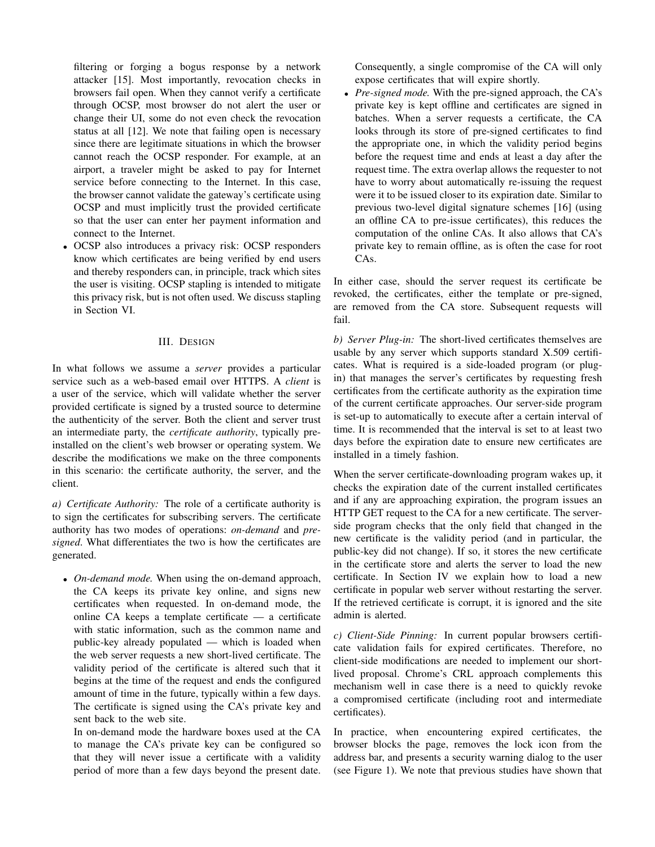filtering or forging a bogus response by a network attacker [15]. Most importantly, revocation checks in browsers fail open. When they cannot verify a certificate through OCSP, most browser do not alert the user or change their UI, some do not even check the revocation status at all [12]. We note that failing open is necessary since there are legitimate situations in which the browser cannot reach the OCSP responder. For example, at an airport, a traveler might be asked to pay for Internet service before connecting to the Internet. In this case, the browser cannot validate the gateway's certificate using OCSP and must implicitly trust the provided certificate so that the user can enter her payment information and connect to the Internet.

• OCSP also introduces a privacy risk: OCSP responders know which certificates are being verified by end users and thereby responders can, in principle, track which sites the user is visiting. OCSP stapling is intended to mitigate this privacy risk, but is not often used. We discuss stapling in Section VI.

## III. DESIGN

In what follows we assume a *server* provides a particular service such as a web-based email over HTTPS. A *client* is a user of the service, which will validate whether the server provided certificate is signed by a trusted source to determine the authenticity of the server. Both the client and server trust an intermediate party, the *certificate authority*, typically preinstalled on the client's web browser or operating system. We describe the modifications we make on the three components in this scenario: the certificate authority, the server, and the client.

*a) Certificate Authority:* The role of a certificate authority is to sign the certificates for subscribing servers. The certificate authority has two modes of operations: *on-demand* and *presigned*. What differentiates the two is how the certificates are generated.

• *On-demand mode.* When using the on-demand approach, the CA keeps its private key online, and signs new certificates when requested. In on-demand mode, the online CA keeps a template certificate — a certificate with static information, such as the common name and public-key already populated — which is loaded when the web server requests a new short-lived certificate. The validity period of the certificate is altered such that it begins at the time of the request and ends the configured amount of time in the future, typically within a few days. The certificate is signed using the CA's private key and sent back to the web site.

In on-demand mode the hardware boxes used at the CA to manage the CA's private key can be configured so that they will never issue a certificate with a validity period of more than a few days beyond the present date.

Consequently, a single compromise of the CA will only expose certificates that will expire shortly.

• *Pre-signed mode.* With the pre-signed approach, the CA's private key is kept offline and certificates are signed in batches. When a server requests a certificate, the CA looks through its store of pre-signed certificates to find the appropriate one, in which the validity period begins before the request time and ends at least a day after the request time. The extra overlap allows the requester to not have to worry about automatically re-issuing the request were it to be issued closer to its expiration date. Similar to previous two-level digital signature schemes [16] (using an offline CA to pre-issue certificates), this reduces the computation of the online CAs. It also allows that CA's private key to remain offline, as is often the case for root CAs.

In either case, should the server request its certificate be revoked, the certificates, either the template or pre-signed, are removed from the CA store. Subsequent requests will fail.

*b) Server Plug-in:* The short-lived certificates themselves are usable by any server which supports standard X.509 certificates. What is required is a side-loaded program (or plugin) that manages the server's certificates by requesting fresh certificates from the certificate authority as the expiration time of the current certificate approaches. Our server-side program is set-up to automatically to execute after a certain interval of time. It is recommended that the interval is set to at least two days before the expiration date to ensure new certificates are installed in a timely fashion.

When the server certificate-downloading program wakes up, it checks the expiration date of the current installed certificates and if any are approaching expiration, the program issues an HTTP GET request to the CA for a new certificate. The serverside program checks that the only field that changed in the new certificate is the validity period (and in particular, the public-key did not change). If so, it stores the new certificate in the certificate store and alerts the server to load the new certificate. In Section IV we explain how to load a new certificate in popular web server without restarting the server. If the retrieved certificate is corrupt, it is ignored and the site admin is alerted.

*c) Client-Side Pinning:* In current popular browsers certificate validation fails for expired certificates. Therefore, no client-side modifications are needed to implement our shortlived proposal. Chrome's CRL approach complements this mechanism well in case there is a need to quickly revoke a compromised certificate (including root and intermediate certificates).

In practice, when encountering expired certificates, the browser blocks the page, removes the lock icon from the address bar, and presents a security warning dialog to the user (see Figure 1). We note that previous studies have shown that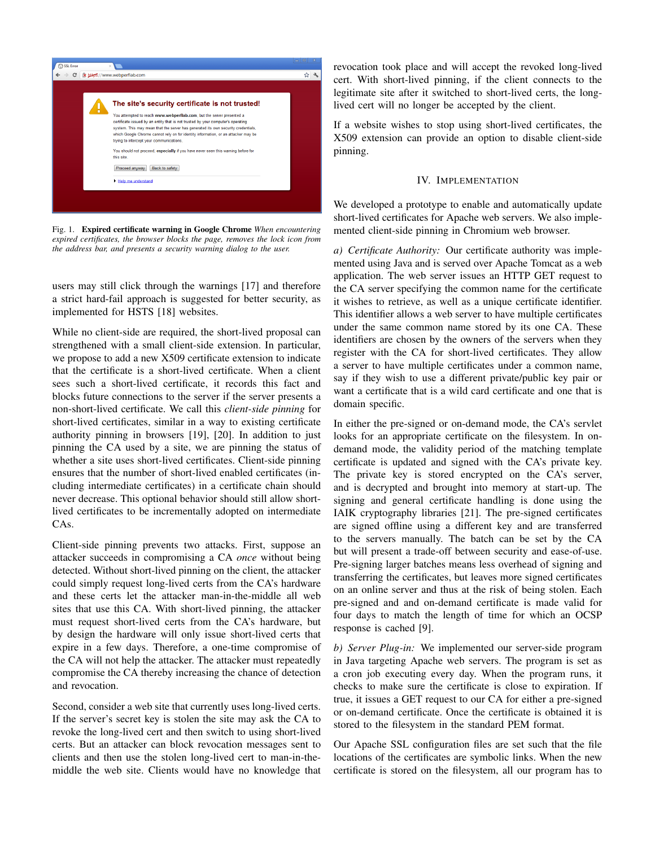

Fig. 1. Expired certificate warning in Google Chrome *When encountering expired certificates, the browser blocks the page, removes the lock icon from the address bar, and presents a security warning dialog to the user.*

users may still click through the warnings [17] and therefore a strict hard-fail approach is suggested for better security, as implemented for HSTS [18] websites.

While no client-side are required, the short-lived proposal can strengthened with a small client-side extension. In particular, we propose to add a new X509 certificate extension to indicate that the certificate is a short-lived certificate. When a client sees such a short-lived certificate, it records this fact and blocks future connections to the server if the server presents a non-short-lived certificate. We call this *client-side pinning* for short-lived certificates, similar in a way to existing certificate authority pinning in browsers [19], [20]. In addition to just pinning the CA used by a site, we are pinning the status of whether a site uses short-lived certificates. Client-side pinning ensures that the number of short-lived enabled certificates (including intermediate certificates) in a certificate chain should never decrease. This optional behavior should still allow shortlived certificates to be incrementally adopted on intermediate CAs.

Client-side pinning prevents two attacks. First, suppose an attacker succeeds in compromising a CA *once* without being detected. Without short-lived pinning on the client, the attacker could simply request long-lived certs from the CA's hardware and these certs let the attacker man-in-the-middle all web sites that use this CA. With short-lived pinning, the attacker must request short-lived certs from the CA's hardware, but by design the hardware will only issue short-lived certs that expire in a few days. Therefore, a one-time compromise of the CA will not help the attacker. The attacker must repeatedly compromise the CA thereby increasing the chance of detection and revocation.

Second, consider a web site that currently uses long-lived certs. If the server's secret key is stolen the site may ask the CA to revoke the long-lived cert and then switch to using short-lived certs. But an attacker can block revocation messages sent to clients and then use the stolen long-lived cert to man-in-themiddle the web site. Clients would have no knowledge that

revocation took place and will accept the revoked long-lived cert. With short-lived pinning, if the client connects to the legitimate site after it switched to short-lived certs, the longlived cert will no longer be accepted by the client.

If a website wishes to stop using short-lived certificates, the X509 extension can provide an option to disable client-side pinning.

#### IV. IMPLEMENTATION

We developed a prototype to enable and automatically update short-lived certificates for Apache web servers. We also implemented client-side pinning in Chromium web browser.

*a) Certificate Authority:* Our certificate authority was implemented using Java and is served over Apache Tomcat as a web application. The web server issues an HTTP GET request to the CA server specifying the common name for the certificate it wishes to retrieve, as well as a unique certificate identifier. This identifier allows a web server to have multiple certificates under the same common name stored by its one CA. These identifiers are chosen by the owners of the servers when they register with the CA for short-lived certificates. They allow a server to have multiple certificates under a common name, say if they wish to use a different private/public key pair or want a certificate that is a wild card certificate and one that is domain specific.

In either the pre-signed or on-demand mode, the CA's servlet looks for an appropriate certificate on the filesystem. In ondemand mode, the validity period of the matching template certificate is updated and signed with the CA's private key. The private key is stored encrypted on the CA's server, and is decrypted and brought into memory at start-up. The signing and general certificate handling is done using the IAIK cryptography libraries [21]. The pre-signed certificates are signed offline using a different key and are transferred to the servers manually. The batch can be set by the CA but will present a trade-off between security and ease-of-use. Pre-signing larger batches means less overhead of signing and transferring the certificates, but leaves more signed certificates on an online server and thus at the risk of being stolen. Each pre-signed and and on-demand certificate is made valid for four days to match the length of time for which an OCSP response is cached [9].

*b) Server Plug-in:* We implemented our server-side program in Java targeting Apache web servers. The program is set as a cron job executing every day. When the program runs, it checks to make sure the certificate is close to expiration. If true, it issues a GET request to our CA for either a pre-signed or on-demand certificate. Once the certificate is obtained it is stored to the filesystem in the standard PEM format.

Our Apache SSL configuration files are set such that the file locations of the certificates are symbolic links. When the new certificate is stored on the filesystem, all our program has to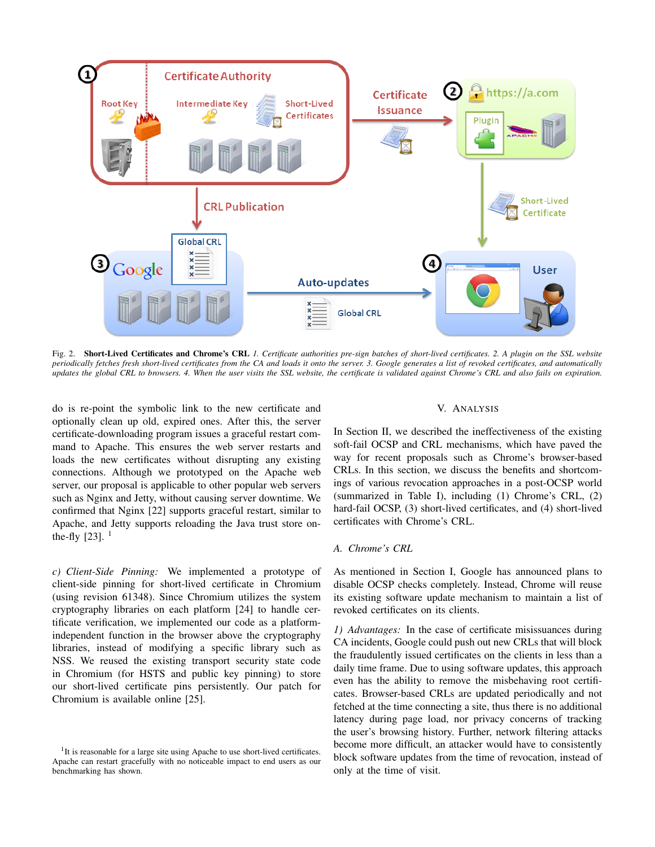

Fig. 2. Short-Lived Certificates and Chrome's CRL *1. Certificate authorities pre-sign batches of short-lived certificates. 2. A plugin on the SSL website periodically fetches fresh short-lived certificates from the CA and loads it onto the server. 3. Google generates a list of revoked certificates, and automatically updates the global CRL to browsers. 4. When the user visits the SSL website, the certificate is validated against Chrome's CRL and also fails on expiration.*

do is re-point the symbolic link to the new certificate and optionally clean up old, expired ones. After this, the server certificate-downloading program issues a graceful restart command to Apache. This ensures the web server restarts and loads the new certificates without disrupting any existing connections. Although we prototyped on the Apache web server, our proposal is applicable to other popular web servers such as Nginx and Jetty, without causing server downtime. We confirmed that Nginx [22] supports graceful restart, similar to Apache, and Jetty supports reloading the Java trust store onthe-fly  $[23]$ . <sup>1</sup>

*c) Client-Side Pinning:* We implemented a prototype of client-side pinning for short-lived certificate in Chromium (using revision 61348). Since Chromium utilizes the system cryptography libraries on each platform [24] to handle certificate verification, we implemented our code as a platformindependent function in the browser above the cryptography libraries, instead of modifying a specific library such as NSS. We reused the existing transport security state code in Chromium (for HSTS and public key pinning) to store our short-lived certificate pins persistently. Our patch for Chromium is available online [25].

#### V. ANALYSIS

In Section II, we described the ineffectiveness of the existing soft-fail OCSP and CRL mechanisms, which have paved the way for recent proposals such as Chrome's browser-based CRLs. In this section, we discuss the benefits and shortcomings of various revocation approaches in a post-OCSP world (summarized in Table I), including (1) Chrome's CRL, (2) hard-fail OCSP, (3) short-lived certificates, and (4) short-lived certificates with Chrome's CRL.

#### *A. Chrome's CRL*

As mentioned in Section I, Google has announced plans to disable OCSP checks completely. Instead, Chrome will reuse its existing software update mechanism to maintain a list of revoked certificates on its clients.

*1) Advantages:* In the case of certificate misissuances during CA incidents, Google could push out new CRLs that will block the fraudulently issued certificates on the clients in less than a daily time frame. Due to using software updates, this approach even has the ability to remove the misbehaving root certificates. Browser-based CRLs are updated periodically and not fetched at the time connecting a site, thus there is no additional latency during page load, nor privacy concerns of tracking the user's browsing history. Further, network filtering attacks become more difficult, an attacker would have to consistently block software updates from the time of revocation, instead of only at the time of visit.

<sup>&</sup>lt;sup>1</sup>It is reasonable for a large site using Apache to use short-lived certificates. Apache can restart gracefully with no noticeable impact to end users as our benchmarking has shown.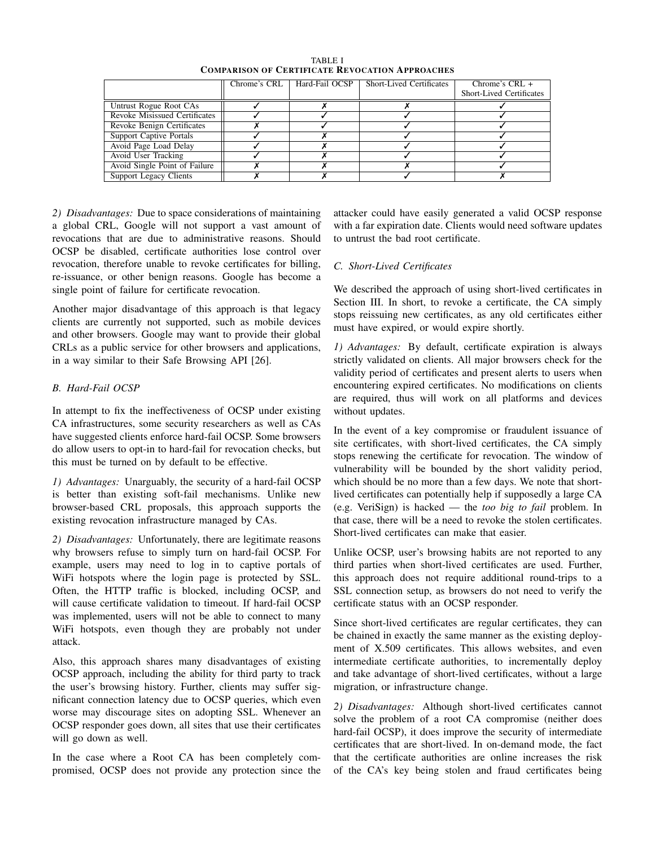| TABLE I                                                |
|--------------------------------------------------------|
| <b>COMPARISON OF CERTIFICATE REVOCATION APPROACHES</b> |

|                                | Chrome's CRL   Hard-Fail OCSP | Short-Lived Certificates | Chrome's $CRL +$                |
|--------------------------------|-------------------------------|--------------------------|---------------------------------|
|                                |                               |                          | <b>Short-Lived Certificates</b> |
| Untrust Rogue Root CAs         |                               |                          |                                 |
| Revoke Misissued Certificates  |                               |                          |                                 |
| Revoke Benign Certificates     |                               |                          |                                 |
| <b>Support Captive Portals</b> |                               |                          |                                 |
| Avoid Page Load Delay          |                               |                          |                                 |
| Avoid User Tracking            |                               |                          |                                 |
| Avoid Single Point of Failure  |                               |                          |                                 |
| Support Legacy Clients         |                               |                          |                                 |

*2) Disadvantages:* Due to space considerations of maintaining a global CRL, Google will not support a vast amount of revocations that are due to administrative reasons. Should OCSP be disabled, certificate authorities lose control over revocation, therefore unable to revoke certificates for billing, re-issuance, or other benign reasons. Google has become a single point of failure for certificate revocation.

Another major disadvantage of this approach is that legacy clients are currently not supported, such as mobile devices and other browsers. Google may want to provide their global CRLs as a public service for other browsers and applications, in a way similar to their Safe Browsing API [26].

## *B. Hard-Fail OCSP*

In attempt to fix the ineffectiveness of OCSP under existing CA infrastructures, some security researchers as well as CAs have suggested clients enforce hard-fail OCSP. Some browsers do allow users to opt-in to hard-fail for revocation checks, but this must be turned on by default to be effective.

*1) Advantages:* Unarguably, the security of a hard-fail OCSP is better than existing soft-fail mechanisms. Unlike new browser-based CRL proposals, this approach supports the existing revocation infrastructure managed by CAs.

*2) Disadvantages:* Unfortunately, there are legitimate reasons why browsers refuse to simply turn on hard-fail OCSP. For example, users may need to log in to captive portals of WiFi hotspots where the login page is protected by SSL. Often, the HTTP traffic is blocked, including OCSP, and will cause certificate validation to timeout. If hard-fail OCSP was implemented, users will not be able to connect to many WiFi hotspots, even though they are probably not under attack.

Also, this approach shares many disadvantages of existing OCSP approach, including the ability for third party to track the user's browsing history. Further, clients may suffer significant connection latency due to OCSP queries, which even worse may discourage sites on adopting SSL. Whenever an OCSP responder goes down, all sites that use their certificates will go down as well.

In the case where a Root CA has been completely compromised, OCSP does not provide any protection since the attacker could have easily generated a valid OCSP response with a far expiration date. Clients would need software updates to untrust the bad root certificate.

## *C. Short-Lived Certificates*

We described the approach of using short-lived certificates in Section III. In short, to revoke a certificate, the CA simply stops reissuing new certificates, as any old certificates either must have expired, or would expire shortly.

*1) Advantages:* By default, certificate expiration is always strictly validated on clients. All major browsers check for the validity period of certificates and present alerts to users when encountering expired certificates. No modifications on clients are required, thus will work on all platforms and devices without updates.

In the event of a key compromise or fraudulent issuance of site certificates, with short-lived certificates, the CA simply stops renewing the certificate for revocation. The window of vulnerability will be bounded by the short validity period, which should be no more than a few days. We note that shortlived certificates can potentially help if supposedly a large CA (e.g. VeriSign) is hacked — the *too big to fail* problem. In that case, there will be a need to revoke the stolen certificates. Short-lived certificates can make that easier.

Unlike OCSP, user's browsing habits are not reported to any third parties when short-lived certificates are used. Further, this approach does not require additional round-trips to a SSL connection setup, as browsers do not need to verify the certificate status with an OCSP responder.

Since short-lived certificates are regular certificates, they can be chained in exactly the same manner as the existing deployment of X.509 certificates. This allows websites, and even intermediate certificate authorities, to incrementally deploy and take advantage of short-lived certificates, without a large migration, or infrastructure change.

*2) Disadvantages:* Although short-lived certificates cannot solve the problem of a root CA compromise (neither does hard-fail OCSP), it does improve the security of intermediate certificates that are short-lived. In on-demand mode, the fact that the certificate authorities are online increases the risk of the CA's key being stolen and fraud certificates being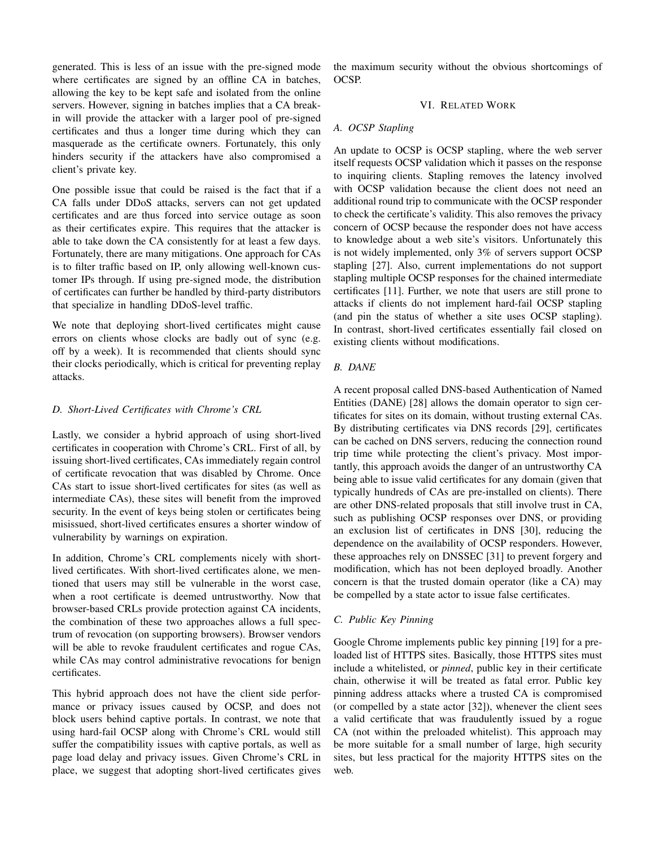generated. This is less of an issue with the pre-signed mode where certificates are signed by an offline CA in batches, allowing the key to be kept safe and isolated from the online servers. However, signing in batches implies that a CA breakin will provide the attacker with a larger pool of pre-signed certificates and thus a longer time during which they can masquerade as the certificate owners. Fortunately, this only hinders security if the attackers have also compromised a client's private key.

One possible issue that could be raised is the fact that if a CA falls under DDoS attacks, servers can not get updated certificates and are thus forced into service outage as soon as their certificates expire. This requires that the attacker is able to take down the CA consistently for at least a few days. Fortunately, there are many mitigations. One approach for CAs is to filter traffic based on IP, only allowing well-known customer IPs through. If using pre-signed mode, the distribution of certificates can further be handled by third-party distributors that specialize in handling DDoS-level traffic.

We note that deploying short-lived certificates might cause errors on clients whose clocks are badly out of sync (e.g. off by a week). It is recommended that clients should sync their clocks periodically, which is critical for preventing replay attacks.

## *D. Short-Lived Certificates with Chrome's CRL*

Lastly, we consider a hybrid approach of using short-lived certificates in cooperation with Chrome's CRL. First of all, by issuing short-lived certificates, CAs immediately regain control of certificate revocation that was disabled by Chrome. Once CAs start to issue short-lived certificates for sites (as well as intermediate CAs), these sites will benefit from the improved security. In the event of keys being stolen or certificates being misissued, short-lived certificates ensures a shorter window of vulnerability by warnings on expiration.

In addition, Chrome's CRL complements nicely with shortlived certificates. With short-lived certificates alone, we mentioned that users may still be vulnerable in the worst case, when a root certificate is deemed untrustworthy. Now that browser-based CRLs provide protection against CA incidents, the combination of these two approaches allows a full spectrum of revocation (on supporting browsers). Browser vendors will be able to revoke fraudulent certificates and rogue CAs, while CAs may control administrative revocations for benign certificates.

This hybrid approach does not have the client side performance or privacy issues caused by OCSP, and does not block users behind captive portals. In contrast, we note that using hard-fail OCSP along with Chrome's CRL would still suffer the compatibility issues with captive portals, as well as page load delay and privacy issues. Given Chrome's CRL in place, we suggest that adopting short-lived certificates gives the maximum security without the obvious shortcomings of OCSP.

## VI. RELATED WORK

## *A. OCSP Stapling*

An update to OCSP is OCSP stapling, where the web server itself requests OCSP validation which it passes on the response to inquiring clients. Stapling removes the latency involved with OCSP validation because the client does not need an additional round trip to communicate with the OCSP responder to check the certificate's validity. This also removes the privacy concern of OCSP because the responder does not have access to knowledge about a web site's visitors. Unfortunately this is not widely implemented, only 3% of servers support OCSP stapling [27]. Also, current implementations do not support stapling multiple OCSP responses for the chained intermediate certificates [11]. Further, we note that users are still prone to attacks if clients do not implement hard-fail OCSP stapling (and pin the status of whether a site uses OCSP stapling). In contrast, short-lived certificates essentially fail closed on existing clients without modifications.

## *B. DANE*

A recent proposal called DNS-based Authentication of Named Entities (DANE) [28] allows the domain operator to sign certificates for sites on its domain, without trusting external CAs. By distributing certificates via DNS records [29], certificates can be cached on DNS servers, reducing the connection round trip time while protecting the client's privacy. Most importantly, this approach avoids the danger of an untrustworthy CA being able to issue valid certificates for any domain (given that typically hundreds of CAs are pre-installed on clients). There are other DNS-related proposals that still involve trust in CA, such as publishing OCSP responses over DNS, or providing an exclusion list of certificates in DNS [30], reducing the dependence on the availability of OCSP responders. However, these approaches rely on DNSSEC [31] to prevent forgery and modification, which has not been deployed broadly. Another concern is that the trusted domain operator (like a CA) may be compelled by a state actor to issue false certificates.

#### *C. Public Key Pinning*

Google Chrome implements public key pinning [19] for a preloaded list of HTTPS sites. Basically, those HTTPS sites must include a whitelisted, or *pinned*, public key in their certificate chain, otherwise it will be treated as fatal error. Public key pinning address attacks where a trusted CA is compromised (or compelled by a state actor [32]), whenever the client sees a valid certificate that was fraudulently issued by a rogue CA (not within the preloaded whitelist). This approach may be more suitable for a small number of large, high security sites, but less practical for the majority HTTPS sites on the web.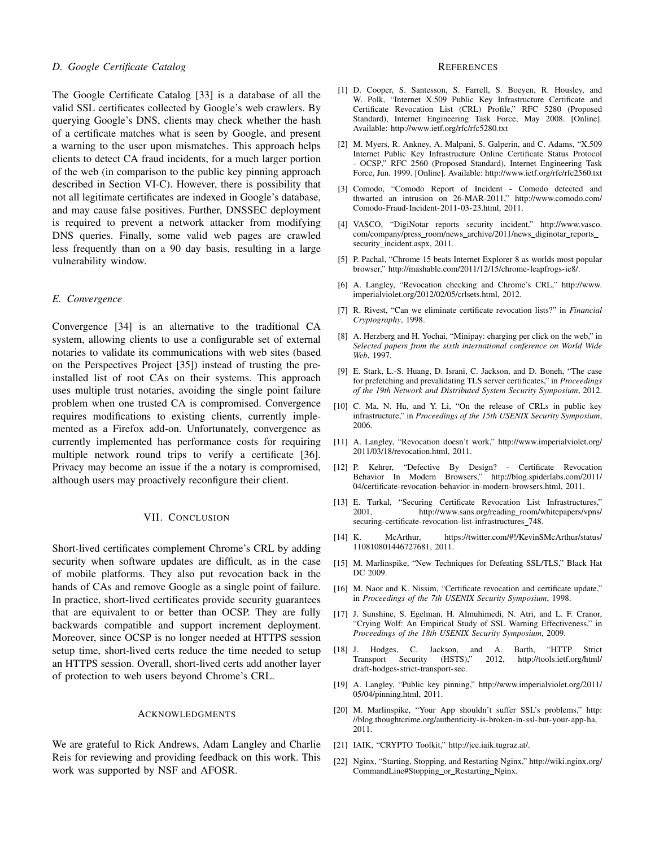#### *D. Google Certificate Catalog*

The Google Certificate Catalog [33] is a database of all the valid SSL certificates collected by Google's web crawlers. By querying Google's DNS, clients may check whether the hash of a certificate matches what is seen by Google, and present a warning to the user upon mismatches. This approach helps clients to detect CA fraud incidents, for a much larger portion of the web (in comparison to the public key pinning approach described in Section VI-C). However, there is possibility that not all legitimate certificates are indexed in Google's database, and may cause false positives. Further, DNSSEC deployment is required to prevent a network attacker from modifying DNS queries. Finally, some valid web pages are crawled less frequently than on a 90 day basis, resulting in a large vulnerability window.

#### *E. Convergence*

Convergence [34] is an alternative to the traditional CA system, allowing clients to use a configurable set of external notaries to validate its communications with web sites (based on the Perspectives Project [35]) instead of trusting the preinstalled list of root CAs on their systems. This approach uses multiple trust notaries, avoiding the single point failure problem when one trusted CA is compromised. Convergence requires modifications to existing clients, currently implemented as a Firefox add-on. Unfortunately, convergence as currently implemented has performance costs for requiring multiple network round trips to verify a certificate [36]. Privacy may become an issue if the a notary is compromised, although users may proactively reconfigure their client.

#### VII. CONCLUSION

Short-lived certificates complement Chrome's CRL by adding security when software updates are difficult, as in the case of mobile platforms. They also put revocation back in the hands of CAs and remove Google as a single point of failure. In practice, short-lived certificates provide security guarantees that are equivalent to or better than OCSP. They are fully backwards compatible and support increment deployment. Moreover, since OCSP is no longer needed at HTTPS session setup time, short-lived certs reduce the time needed to setup an HTTPS session. Overall, short-lived certs add another layer of protection to web users beyond Chrome's CRL.

#### **ACKNOWLEDGMENTS**

We are grateful to Rick Andrews, Adam Langley and Charlie Reis for reviewing and providing feedback on this work. This work was supported by NSF and AFOSR.

#### **REFERENCES**

- [1] D. Cooper, S. Santesson, S. Farrell, S. Boeyen, R. Housley, and W. Polk, "Internet X.509 Public Key Infrastructure Certificate and Certificate Revocation List (CRL) Profile," RFC 5280 (Proposed Standard), Internet Engineering Task Force, May 2008. [Online]. Available: http://www.ietf.org/rfc/rfc5280.txt
- [2] M. Myers, R. Ankney, A. Malpani, S. Galperin, and C. Adams, "X.509 Internet Public Key Infrastructure Online Certificate Status Protocol - OCSP," RFC 2560 (Proposed Standard), Internet Engineering Task Force, Jun. 1999. [Online]. Available: http://www.ietf.org/rfc/rfc2560.txt
- [3] Comodo, "Comodo Report of Incident Comodo detected and thwarted an intrusion on 26-MAR-2011," http://www.comodo.com/ Comodo-Fraud-Incident-2011-03-23.html, 2011.
- [4] VASCO, "DigiNotar reports security incident," http://www.vasco. com/company/press\_room/news\_archive/2011/news\_diginotar\_reports\_ security\_incident.aspx, 2011.
- [5] P. Pachal, "Chrome 15 beats Internet Explorer 8 as worlds most popular browser," http://mashable.com/2011/12/15/chrome-leapfrogs-ie8/.
- [6] A. Langley, "Revocation checking and Chrome's CRL," http://www. imperialviolet.org/2012/02/05/crlsets.html, 2012.
- [7] R. Rivest, "Can we eliminate certificate revocation lists?" in *Financial Cryptography*, 1998.
- [8] A. Herzberg and H. Yochai, "Minipay: charging per click on the web," in *Selected papers from the sixth international conference on World Wide Web*, 1997.
- [9] E. Stark, L.-S. Huang, D. Israni, C. Jackson, and D. Boneh, "The case for prefetching and prevalidating TLS server certificates," in *Proceedings of the 19th Network and Distributed System Security Symposium*, 2012.
- [10] C. Ma, N. Hu, and Y. Li, "On the release of CRLs in public key infrastructure," in *Proceedings of the 15th USENIX Security Symposium*, 2006.
- [11] A. Langley, "Revocation doesn't work," http://www.imperialviolet.org/ 2011/03/18/revocation.html, 2011.
- [12] P. Kehrer, "Defective By Design? Certificate Revocation Behavior In Modern Browsers," http://blog.spiderlabs.com/2011/ 04/certificate-revocation-behavior-in-modern-browsers.html, 2011.
- [13] E. Turkal, "Securing Certificate Revocation List Infrastructures," 2001, http://www.sans.org/reading room/whitepapers/vpns/ securing-certificate-revocation-list-infrastructures\_748.
- [14] K. McArthur, https://twitter.com/#!/KevinSMcArthur/status/ 110810801446727681, 2011.
- [15] M. Marlinspike, "New Techniques for Defeating SSL/TLS," Black Hat DC 2009.
- [16] M. Naor and K. Nissim, "Certificate revocation and certificate update," in *Proceedings of the 7th USENIX Security Symposium*, 1998.
- [17] J. Sunshine, S. Egelman, H. Almuhimedi, N. Atri, and L. F. Cranor, "Crying Wolf: An Empirical Study of SSL Warning Effectiveness," in *Proceedings of the 18th USENIX Security Symposium*, 2009.
- [18] J. Hodges, C. Jackson, and A. Barth, "HTTP Strict Transport Security (HSTS)," 2012, http://tools.ietf.org/html/ draft-hodges-strict-transport-sec.
- [19] A. Langley, "Public key pinning," http://www.imperialviolet.org/2011/ 05/04/pinning.html, 2011.
- [20] M. Marlinspike, "Your App shouldn't suffer SSL's problems," http: //blog.thoughtcrime.org/authenticity-is-broken-in-ssl-but-your-app-ha, 2011.
- [21] IAIK, "CRYPTO Toolkit," http://jce.iaik.tugraz.at/.
- [22] Nginx, "Starting, Stopping, and Restarting Nginx," http://wiki.nginx.org/ CommandLine#Stopping or Restarting Nginx.